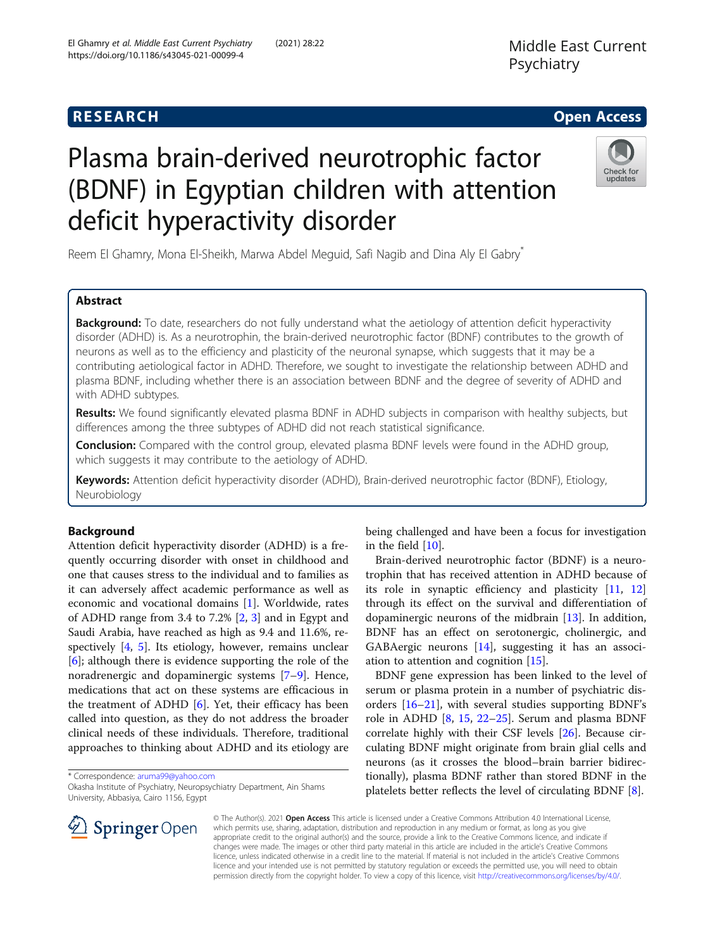# Plasma brain-derived neurotrophic factor (BDNF) in Egyptian children with attention deficit hyperactivity disorder

Reem El Ghamry, Mona El-Sheikh, Marwa Abdel Meguid, Safi Nagib and Dina Aly El Gabry\*

# Abstract

**Background:** To date, researchers do not fully understand what the aetiology of attention deficit hyperactivity disorder (ADHD) is. As a neurotrophin, the brain-derived neurotrophic factor (BDNF) contributes to the growth of neurons as well as to the efficiency and plasticity of the neuronal synapse, which suggests that it may be a contributing aetiological factor in ADHD. Therefore, we sought to investigate the relationship between ADHD and plasma BDNF, including whether there is an association between BDNF and the degree of severity of ADHD and with ADHD subtypes.

Results: We found significantly elevated plasma BDNF in ADHD subjects in comparison with healthy subjects, but differences among the three subtypes of ADHD did not reach statistical significance.

Conclusion: Compared with the control group, elevated plasma BDNF levels were found in the ADHD group, which suggests it may contribute to the aetiology of ADHD.

Keywords: Attention deficit hyperactivity disorder (ADHD), Brain-derived neurotrophic factor (BDNF), Etiology, Neurobiology

# Background

Attention deficit hyperactivity disorder (ADHD) is a frequently occurring disorder with onset in childhood and one that causes stress to the individual and to families as it can adversely affect academic performance as well as economic and vocational domains [[1\]](#page-6-0). Worldwide, rates of ADHD range from 3.4 to 7.2% [\[2](#page-6-0), [3](#page-6-0)] and in Egypt and Saudi Arabia, have reached as high as 9.4 and 11.6%, respectively  $[4, 5]$  $[4, 5]$  $[4, 5]$  $[4, 5]$ . Its etiology, however, remains unclear [[6\]](#page-6-0); although there is evidence supporting the role of the noradrenergic and dopaminergic systems [[7](#page-6-0)–[9\]](#page-6-0). Hence, medications that act on these systems are efficacious in the treatment of ADHD [\[6\]](#page-6-0). Yet, their efficacy has been called into question, as they do not address the broader clinical needs of these individuals. Therefore, traditional approaches to thinking about ADHD and its etiology are

\* Correspondence: [aruma99@yahoo.com](mailto:aruma99@yahoo.com)

 $\perp$  Springer Open

Okasha Institute of Psychiatry, Neuropsychiatry Department, Ain Shams University, Abbasiya, Cairo 1156, Egypt

being challenged and have been a focus for investigation in the field [\[10\]](#page-7-0).

Brain-derived neurotrophic factor (BDNF) is a neurotrophin that has received attention in ADHD because of its role in synaptic efficiency and plasticity [\[11](#page-7-0), [12](#page-7-0)] through its effect on the survival and differentiation of dopaminergic neurons of the midbrain [\[13\]](#page-7-0). In addition, BDNF has an effect on serotonergic, cholinergic, and GABAergic neurons [\[14](#page-7-0)], suggesting it has an association to attention and cognition [[15\]](#page-7-0).

BDNF gene expression has been linked to the level of serum or plasma protein in a number of psychiatric disorders [[16](#page-7-0)–[21](#page-7-0)], with several studies supporting BDNF's role in ADHD [\[8](#page-6-0), [15,](#page-7-0) [22](#page-7-0)–[25](#page-7-0)]. Serum and plasma BDNF correlate highly with their CSF levels [[26](#page-7-0)]. Because circulating BDNF might originate from brain glial cells and neurons (as it crosses the blood–brain barrier bidirectionally), plasma BDNF rather than stored BDNF in the platelets better reflects the level of circulating BDNF [\[8](#page-6-0)].

© The Author(s). 2021 Open Access This article is licensed under a Creative Commons Attribution 4.0 International License, which permits use, sharing, adaptation, distribution and reproduction in any medium or format, as long as you give appropriate credit to the original author(s) and the source, provide a link to the Creative Commons licence, and indicate if changes were made. The images or other third party material in this article are included in the article's Creative Commons licence, unless indicated otherwise in a credit line to the material. If material is not included in the article's Creative Commons licence and your intended use is not permitted by statutory regulation or exceeds the permitted use, you will need to obtain permission directly from the copyright holder. To view a copy of this licence, visit <http://creativecommons.org/licenses/by/4.0/>.





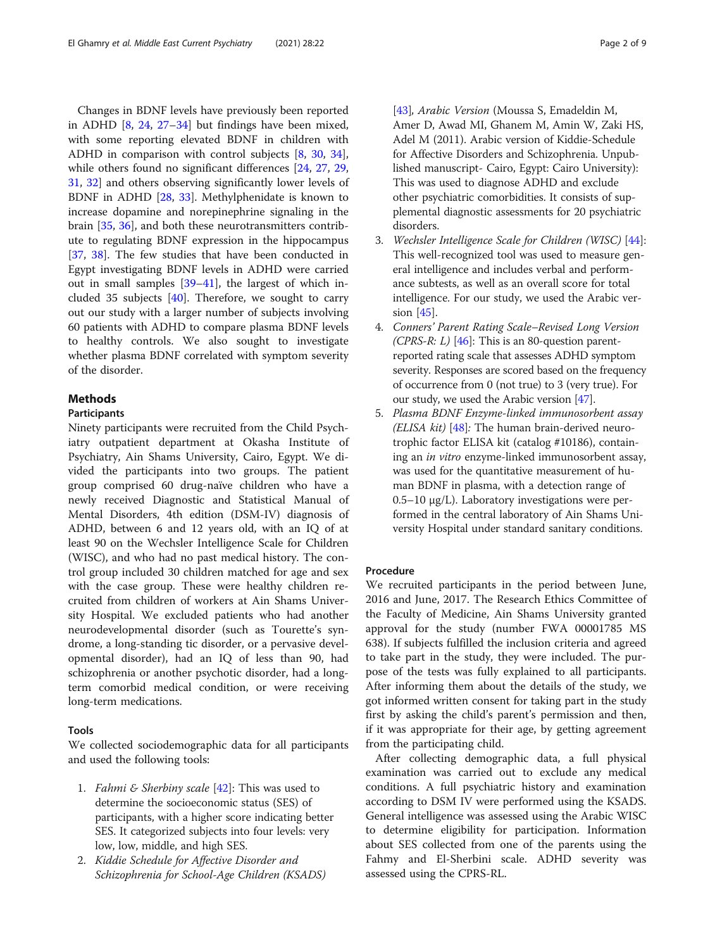Changes in BDNF levels have previously been reported in ADHD [\[8](#page-6-0), [24](#page-7-0), [27](#page-7-0)–[34\]](#page-7-0) but findings have been mixed, with some reporting elevated BDNF in children with ADHD in comparison with control subjects [\[8](#page-6-0), [30](#page-7-0), [34](#page-7-0)], while others found no significant differences [[24,](#page-7-0) [27,](#page-7-0) [29](#page-7-0), [31,](#page-7-0) [32\]](#page-7-0) and others observing significantly lower levels of BDNF in ADHD [\[28](#page-7-0), [33\]](#page-7-0). Methylphenidate is known to increase dopamine and norepinephrine signaling in the brain [\[35,](#page-7-0) [36\]](#page-7-0), and both these neurotransmitters contribute to regulating BDNF expression in the hippocampus [[37,](#page-7-0) [38](#page-7-0)]. The few studies that have been conducted in Egypt investigating BDNF levels in ADHD were carried out in small samples [\[39](#page-7-0)–[41\]](#page-7-0), the largest of which included 35 subjects  $[40]$  $[40]$ . Therefore, we sought to carry out our study with a larger number of subjects involving 60 patients with ADHD to compare plasma BDNF levels to healthy controls. We also sought to investigate whether plasma BDNF correlated with symptom severity of the disorder.

# Methods

# Participants

Ninety participants were recruited from the Child Psychiatry outpatient department at Okasha Institute of Psychiatry, Ain Shams University, Cairo, Egypt. We divided the participants into two groups. The patient group comprised 60 drug-naïve children who have a newly received Diagnostic and Statistical Manual of Mental Disorders, 4th edition (DSM-IV) diagnosis of ADHD, between 6 and 12 years old, with an IQ of at least 90 on the Wechsler Intelligence Scale for Children (WISC), and who had no past medical history. The control group included 30 children matched for age and sex with the case group. These were healthy children recruited from children of workers at Ain Shams University Hospital. We excluded patients who had another neurodevelopmental disorder (such as Tourette's syndrome, a long-standing tic disorder, or a pervasive developmental disorder), had an IQ of less than 90, had schizophrenia or another psychotic disorder, had a longterm comorbid medical condition, or were receiving long-term medications.

# Tools

We collected sociodemographic data for all participants and used the following tools:

- 1. *Fahmi & Sherbiny scale*  $[42]$  $[42]$  $[42]$ : This was used to determine the socioeconomic status (SES) of participants, with a higher score indicating better SES. It categorized subjects into four levels: very low, low, middle, and high SES.
- 2. Kiddie Schedule for Affective Disorder and Schizophrenia for School-Age Children (KSADS)

[[43](#page-7-0)], Arabic Version (Moussa S, Emadeldin M, Amer D, Awad MI, Ghanem M, Amin W, Zaki HS, Adel M (2011). Arabic version of Kiddie-Schedule for Affective Disorders and Schizophrenia. Unpublished manuscript- Cairo, Egypt: Cairo University): This was used to diagnose ADHD and exclude other psychiatric comorbidities. It consists of supplemental diagnostic assessments for 20 psychiatric disorders.

- 3. Wechsler Intelligence Scale for Children (WISC) [[44](#page-7-0)]: This well-recognized tool was used to measure general intelligence and includes verbal and performance subtests, as well as an overall score for total intelligence. For our study, we used the Arabic version [[45](#page-7-0)].
- 4. Conners' Parent Rating Scale–Revised Long Version (CPRS-R: L) [[46\]](#page-7-0): This is an 80-question parentreported rating scale that assesses ADHD symptom severity. Responses are scored based on the frequency of occurrence from 0 (not true) to 3 (very true). For our study, we used the Arabic version [[47](#page-8-0)].
- 5. Plasma BDNF Enzyme-linked immunosorbent assay (ELISA  $kit$ ) [\[48](#page-8-0)]: The human brain-derived neurotrophic factor ELISA kit (catalog #10186), containing an in vitro enzyme-linked immunosorbent assay, was used for the quantitative measurement of human BDNF in plasma, with a detection range of 0.5–10 μg/L). Laboratory investigations were performed in the central laboratory of Ain Shams University Hospital under standard sanitary conditions.

# Procedure

We recruited participants in the period between June, 2016 and June, 2017. The Research Ethics Committee of the Faculty of Medicine, Ain Shams University granted approval for the study (number FWA 00001785 MS 638). If subjects fulfilled the inclusion criteria and agreed to take part in the study, they were included. The purpose of the tests was fully explained to all participants. After informing them about the details of the study, we got informed written consent for taking part in the study first by asking the child's parent's permission and then, if it was appropriate for their age, by getting agreement from the participating child.

After collecting demographic data, a full physical examination was carried out to exclude any medical conditions. A full psychiatric history and examination according to DSM IV were performed using the KSADS. General intelligence was assessed using the Arabic WISC to determine eligibility for participation. Information about SES collected from one of the parents using the Fahmy and El-Sherbini scale. ADHD severity was assessed using the CPRS-RL.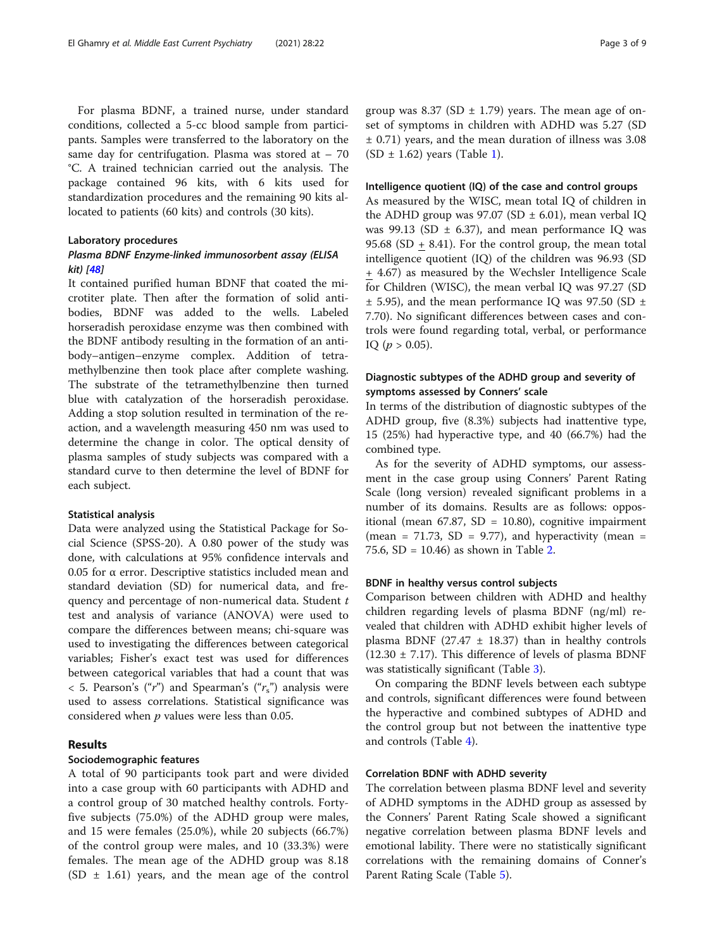For plasma BDNF, a trained nurse, under standard conditions, collected a 5-cc blood sample from participants. Samples were transferred to the laboratory on the same day for centrifugation. Plasma was stored at  $-70$ °C. A trained technician carried out the analysis. The package contained 96 kits, with 6 kits used for standardization procedures and the remaining 90 kits allocated to patients (60 kits) and controls (30 kits).

# Laboratory procedures

# Plasma BDNF Enzyme-linked immunosorbent assay (ELISA kit) [\[48\]](#page-8-0)

It contained purified human BDNF that coated the microtiter plate. Then after the formation of solid antibodies, BDNF was added to the wells. Labeled horseradish peroxidase enzyme was then combined with the BDNF antibody resulting in the formation of an antibody–antigen–enzyme complex. Addition of tetramethylbenzine then took place after complete washing. The substrate of the tetramethylbenzine then turned blue with catalyzation of the horseradish peroxidase. Adding a stop solution resulted in termination of the reaction, and a wavelength measuring 450 nm was used to determine the change in color. The optical density of plasma samples of study subjects was compared with a standard curve to then determine the level of BDNF for each subject.

#### Statistical analysis

Data were analyzed using the Statistical Package for Social Science (SPSS-20). A 0.80 power of the study was done, with calculations at 95% confidence intervals and 0.05 for α error. Descriptive statistics included mean and standard deviation (SD) for numerical data, and frequency and percentage of non-numerical data. Student  $t$ test and analysis of variance (ANOVA) were used to compare the differences between means; chi-square was used to investigating the differences between categorical variables; Fisher's exact test was used for differences between categorical variables that had a count that was  $<$  5. Pearson's ("r") and Spearman's ("r<sub>s</sub>") analysis were used to assess correlations. Statistical significance was considered when  $p$  values were less than 0.05.

# Results

# Sociodemographic features

A total of 90 participants took part and were divided into a case group with 60 participants with ADHD and a control group of 30 matched healthy controls. Fortyfive subjects (75.0%) of the ADHD group were males, and 15 were females (25.0%), while 20 subjects (66.7%) of the control group were males, and 10 (33.3%) were females. The mean age of the ADHD group was 8.18  $(SD \pm 1.61)$  years, and the mean age of the control

#### Intelligence quotient (IQ) of the case and control groups

As measured by the WISC, mean total IQ of children in the ADHD group was 97.07 (SD  $\pm$  6.01), mean verbal IQ was 99.13 (SD  $\pm$  6.37), and mean performance IQ was 95.68 (SD  $+$  8.41). For the control group, the mean total intelligence quotient (IQ) of the children was 96.93 (SD + 4.67) as measured by the Wechsler Intelligence Scale for Children (WISC), the mean verbal IQ was 97.27 (SD  $\pm$  5.95), and the mean performance IQ was 97.50 (SD  $\pm$ 7.70). No significant differences between cases and controls were found regarding total, verbal, or performance IQ ( $p > 0.05$ ).

# Diagnostic subtypes of the ADHD group and severity of symptoms assessed by Conners' scale

In terms of the distribution of diagnostic subtypes of the ADHD group, five (8.3%) subjects had inattentive type, 15 (25%) had hyperactive type, and 40 (66.7%) had the combined type.

As for the severity of ADHD symptoms, our assessment in the case group using Conners' Parent Rating Scale (long version) revealed significant problems in a number of its domains. Results are as follows: oppositional (mean  $67.87$ , SD = 10.80), cognitive impairment (mean = 71.73, SD = 9.77), and hyperactivity (mean = 75.6, SD = 10.46) as shown in Table [2.](#page-4-0)

# BDNF in healthy versus control subjects

Comparison between children with ADHD and healthy children regarding levels of plasma BDNF (ng/ml) revealed that children with ADHD exhibit higher levels of plasma BDNF (27.47  $\pm$  18.37) than in healthy controls  $(12.30 \pm 7.17)$ . This difference of levels of plasma BDNF was statistically significant (Table [3](#page-4-0)).

On comparing the BDNF levels between each subtype and controls, significant differences were found between the hyperactive and combined subtypes of ADHD and the control group but not between the inattentive type and controls (Table [4\)](#page-5-0).

# Correlation BDNF with ADHD severity

The correlation between plasma BDNF level and severity of ADHD symptoms in the ADHD group as assessed by the Conners' Parent Rating Scale showed a significant negative correlation between plasma BDNF levels and emotional lability. There were no statistically significant correlations with the remaining domains of Conner's Parent Rating Scale (Table [5](#page-5-0)).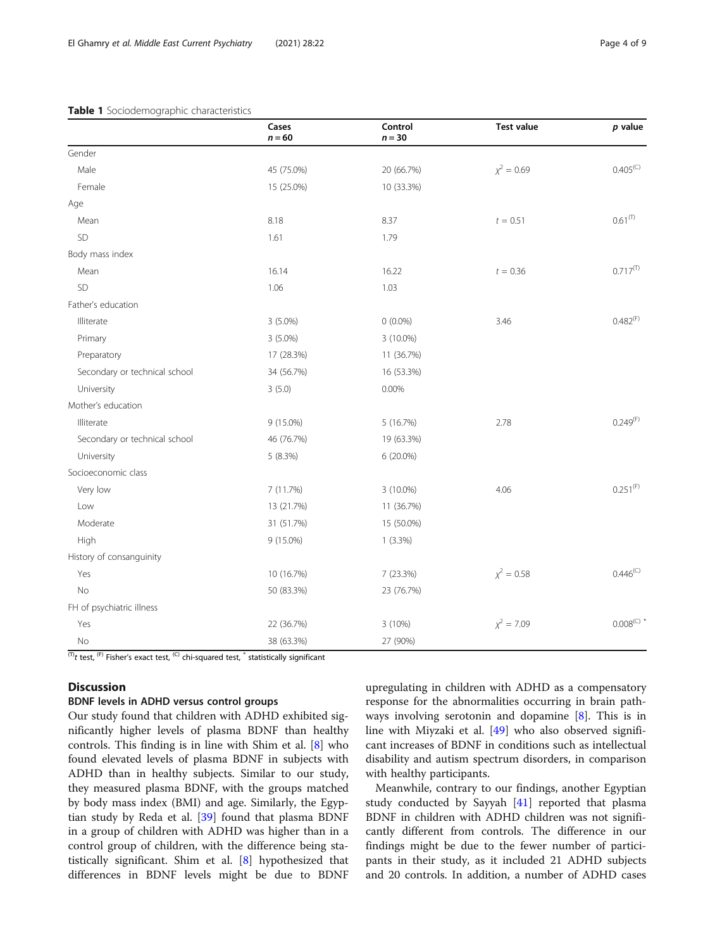# <span id="page-3-0"></span>Table 1 Sociodemographic characteristics

|                               | Cases<br>$n = 60$ | Control<br>$n = 30$ | <b>Test value</b> | $p$ value            |
|-------------------------------|-------------------|---------------------|-------------------|----------------------|
| Gender                        |                   |                     |                   |                      |
| Male                          | 45 (75.0%)        | 20 (66.7%)          | $x^2 = 0.69$      | 0.405 <sup>(C)</sup> |
| Female                        | 15 (25.0%)        | 10 (33.3%)          |                   |                      |
| Age                           |                   |                     |                   |                      |
| Mean                          | 8.18              | 8.37                | $t = 0.51$        | $0.61^{(T)}$         |
| SD                            | 1.61              | 1.79                |                   |                      |
| Body mass index               |                   |                     |                   |                      |
| Mean                          | 16.14             | 16.22               | $t = 0.36$        | $0.717^{(T)}$        |
| SD                            | 1.06              | 1.03                |                   |                      |
| Father's education            |                   |                     |                   |                      |
| Illiterate                    | 3 (5.0%)          | $0(0.0\%)$          | 3.46              | $0.482^{(F)}$        |
| Primary                       | 3 (5.0%)          | 3 (10.0%)           |                   |                      |
| Preparatory                   | 17 (28.3%)        | 11 (36.7%)          |                   |                      |
| Secondary or technical school | 34 (56.7%)        | 16 (53.3%)          |                   |                      |
| University                    | 3(5.0)            | 0.00%               |                   |                      |
| Mother's education            |                   |                     |                   |                      |
| Illiterate                    | 9 (15.0%)         | 5 (16.7%)           | 2.78              | $0.249^{(F)}$        |
| Secondary or technical school | 46 (76.7%)        | 19 (63.3%)          |                   |                      |
| University                    | 5 (8.3%)          | 6 (20.0%)           |                   |                      |
| Socioeconomic class           |                   |                     |                   |                      |
| Very low                      | 7 (11.7%)         | $3(10.0\%)$         | 4.06              | $0.251^{(F)}$        |
| Low                           | 13 (21.7%)        | 11 (36.7%)          |                   |                      |
| Moderate                      | 31 (51.7%)        | 15 (50.0%)          |                   |                      |
| High                          | 9 (15.0%)         | $1(3.3\%)$          |                   |                      |
| History of consanguinity      |                   |                     |                   |                      |
| Yes                           | 10 (16.7%)        | 7 (23.3%)           | $x^2 = 0.58$      | $0.446^{(C)}$        |
| No                            | 50 (83.3%)        | 23 (76.7%)          |                   |                      |
| FH of psychiatric illness     |                   |                     |                   |                      |
| Yes                           | 22 (36.7%)        | 3 (10%)             | $x^2 = 7.09$      | $0.008^{\text{(C)}}$ |
| No                            | 38 (63.3%)        | 27 (90%)            |                   |                      |

 $\overline{^{(T)}t}$  test, <sup>(F)</sup> Fisher's exact test, <sup>(C)</sup> chi-squared test,  $\overline{ }$  statistically significant

# **Discussion**

# BDNF levels in ADHD versus control groups

Our study found that children with ADHD exhibited significantly higher levels of plasma BDNF than healthy controls. This finding is in line with Shim et al. [[8\]](#page-6-0) who found elevated levels of plasma BDNF in subjects with ADHD than in healthy subjects. Similar to our study, they measured plasma BDNF, with the groups matched by body mass index (BMI) and age. Similarly, the Egyptian study by Reda et al. [\[39](#page-7-0)] found that plasma BDNF in a group of children with ADHD was higher than in a control group of children, with the difference being statistically significant. Shim et al. [\[8](#page-6-0)] hypothesized that differences in BDNF levels might be due to BDNF

upregulating in children with ADHD as a compensatory response for the abnormalities occurring in brain pathways involving serotonin and dopamine [[8\]](#page-6-0). This is in line with Miyzaki et al. [\[49\]](#page-8-0) who also observed significant increases of BDNF in conditions such as intellectual disability and autism spectrum disorders, in comparison with healthy participants.

Meanwhile, contrary to our findings, another Egyptian study conducted by Sayyah [[41](#page-7-0)] reported that plasma BDNF in children with ADHD children was not significantly different from controls. The difference in our findings might be due to the fewer number of participants in their study, as it included 21 ADHD subjects and 20 controls. In addition, a number of ADHD cases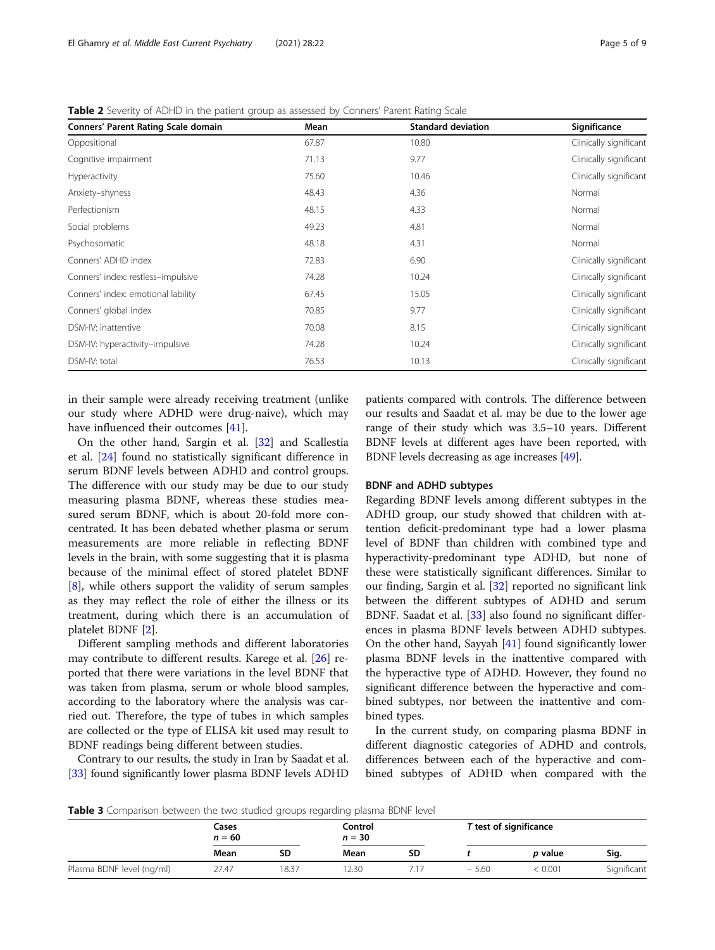| Conners' Parent Rating Scale domain | Mean  | <b>Standard deviation</b> | Significance           |
|-------------------------------------|-------|---------------------------|------------------------|
| Oppositional                        | 67.87 | 10.80                     | Clinically significant |
| Cognitive impairment                | 71.13 | 9.77                      | Clinically significant |
| Hyperactivity                       | 75.60 | 10.46                     | Clinically significant |
| Anxiety-shyness                     | 48.43 | 4.36                      | Normal                 |
| Perfectionism                       | 48.15 | 4.33                      | Normal                 |
| Social problems                     | 49.23 | 4.81                      | Normal                 |
| Psychosomatic                       | 48.18 | 4.31                      | Normal                 |
| Conners' ADHD index                 | 72.83 | 6.90                      | Clinically significant |
| Conners' index: restless-impulsive  | 74.28 | 10.24                     | Clinically significant |
| Conners' index: emotional lability  | 67.45 | 15.05                     | Clinically significant |
| Conners' global index               | 70.85 | 9.77                      | Clinically significant |
| DSM-IV: inattentive                 | 70.08 | 8.15                      | Clinically significant |
| DSM-IV: hyperactivity-impulsive     | 74.28 | 10.24                     | Clinically significant |
| DSM-IV: total                       | 76.53 | 10.13                     | Clinically significant |

<span id="page-4-0"></span>Table 2 Severity of ADHD in the patient group as assessed by Conners' Parent Rating Scale

in their sample were already receiving treatment (unlike our study where ADHD were drug-naive), which may have influenced their outcomes [\[41](#page-7-0)].

On the other hand, Sargin et al. [\[32](#page-7-0)] and Scallestia et al. [\[24](#page-7-0)] found no statistically significant difference in serum BDNF levels between ADHD and control groups. The difference with our study may be due to our study measuring plasma BDNF, whereas these studies measured serum BDNF, which is about 20-fold more concentrated. It has been debated whether plasma or serum measurements are more reliable in reflecting BDNF levels in the brain, with some suggesting that it is plasma because of the minimal effect of stored platelet BDNF [[8\]](#page-6-0), while others support the validity of serum samples as they may reflect the role of either the illness or its treatment, during which there is an accumulation of platelet BDNF [\[2](#page-6-0)].

Different sampling methods and different laboratories may contribute to different results. Karege et al. [[26](#page-7-0)] reported that there were variations in the level BDNF that was taken from plasma, serum or whole blood samples, according to the laboratory where the analysis was carried out. Therefore, the type of tubes in which samples are collected or the type of ELISA kit used may result to BDNF readings being different between studies.

Contrary to our results, the study in Iran by Saadat et al. [[33](#page-7-0)] found significantly lower plasma BDNF levels ADHD

patients compared with controls. The difference between our results and Saadat et al. may be due to the lower age range of their study which was 3.5–10 years. Different BDNF levels at different ages have been reported, with BDNF levels decreasing as age increases [[49](#page-8-0)].

# BDNF and ADHD subtypes

Regarding BDNF levels among different subtypes in the ADHD group, our study showed that children with attention deficit-predominant type had a lower plasma level of BDNF than children with combined type and hyperactivity-predominant type ADHD, but none of these were statistically significant differences. Similar to our finding, Sargin et al. [[32](#page-7-0)] reported no significant link between the different subtypes of ADHD and serum BDNF. Saadat et al. [[33\]](#page-7-0) also found no significant differences in plasma BDNF levels between ADHD subtypes. On the other hand, Sayyah [\[41\]](#page-7-0) found significantly lower plasma BDNF levels in the inattentive compared with the hyperactive type of ADHD. However, they found no significant difference between the hyperactive and combined subtypes, nor between the inattentive and combined types.

In the current study, on comparing plasma BDNF in different diagnostic categories of ADHD and controls, differences between each of the hyperactive and combined subtypes of ADHD when compared with the

Table 3 Comparison between the two studied groups regarding plasma BDNF level

|                           | Cases<br>$n = 60$ |      | Control<br>$n = 30$ |    | T test of significance |                |             |
|---------------------------|-------------------|------|---------------------|----|------------------------|----------------|-------------|
|                           | Mean              | SD   | Mean                | SD |                        | <i>p</i> value | Sig.        |
| Plasma BDNF level (ng/ml) | 27.47             | 8.37 | 2.30                |    | $-5.60$                | ະ 0.001        | Significant |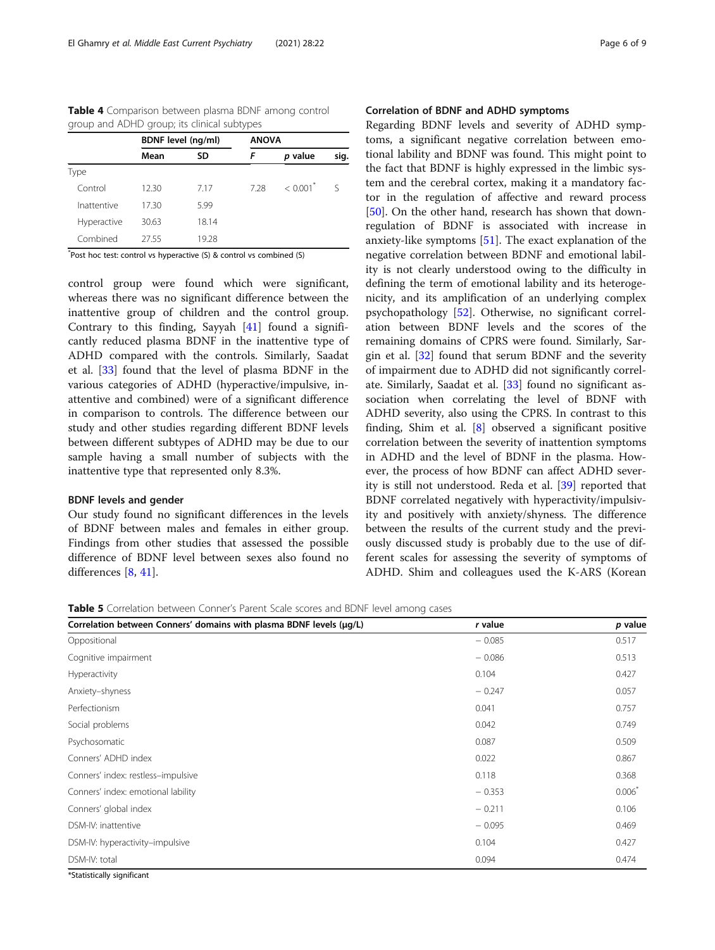<span id="page-5-0"></span>Table 4 Comparison between plasma BDNF among control group and ADHD group; its clinical subtypes

|             | <b>BDNF</b> level (ng/ml) |       | <b>ANOVA</b> |                        |      |
|-------------|---------------------------|-------|--------------|------------------------|------|
|             | Mean                      | SD    | F            | p value                | sig. |
| Type        |                           |       |              |                        |      |
| Control     | 12.30                     | 7.17  | 7.28         | $< 0.001$ <sup>*</sup> |      |
| Inattentive | 17.30                     | 5.99  |              |                        |      |
| Hyperactive | 30.63                     | 18.14 |              |                        |      |
| Combined    | 27.55                     | 19.28 |              |                        |      |
| $+$ $-$     |                           |       |              |                        |      |

\* Post hoc test: control vs hyperactive (S) & control vs combined (S)

control group were found which were significant, whereas there was no significant difference between the inattentive group of children and the control group. Contrary to this finding, Sayyah [\[41\]](#page-7-0) found a significantly reduced plasma BDNF in the inattentive type of ADHD compared with the controls. Similarly, Saadat et al. [\[33\]](#page-7-0) found that the level of plasma BDNF in the various categories of ADHD (hyperactive/impulsive, inattentive and combined) were of a significant difference in comparison to controls. The difference between our study and other studies regarding different BDNF levels between different subtypes of ADHD may be due to our sample having a small number of subjects with the inattentive type that represented only 8.3%.

### BDNF levels and gender

Our study found no significant differences in the levels of BDNF between males and females in either group. Findings from other studies that assessed the possible difference of BDNF level between sexes also found no differences [[8,](#page-6-0) [41\]](#page-7-0).

# Correlation of BDNF and ADHD symptoms

Regarding BDNF levels and severity of ADHD symptoms, a significant negative correlation between emotional lability and BDNF was found. This might point to the fact that BDNF is highly expressed in the limbic system and the cerebral cortex, making it a mandatory factor in the regulation of affective and reward process [[50\]](#page-8-0). On the other hand, research has shown that downregulation of BDNF is associated with increase in anxiety-like symptoms [[51\]](#page-8-0). The exact explanation of the negative correlation between BDNF and emotional lability is not clearly understood owing to the difficulty in defining the term of emotional lability and its heterogenicity, and its amplification of an underlying complex psychopathology [[52\]](#page-8-0). Otherwise, no significant correlation between BDNF levels and the scores of the remaining domains of CPRS were found. Similarly, Sargin et al. [[32\]](#page-7-0) found that serum BDNF and the severity of impairment due to ADHD did not significantly correl-ate. Similarly, Saadat et al. [\[33](#page-7-0)] found no significant association when correlating the level of BDNF with ADHD severity, also using the CPRS. In contrast to this finding, Shim et al.  $[8]$  $[8]$  observed a significant positive correlation between the severity of inattention symptoms in ADHD and the level of BDNF in the plasma. However, the process of how BDNF can affect ADHD severity is still not understood. Reda et al. [\[39](#page-7-0)] reported that BDNF correlated negatively with hyperactivity/impulsivity and positively with anxiety/shyness. The difference between the results of the current study and the previously discussed study is probably due to the use of different scales for assessing the severity of symptoms of ADHD. Shim and colleagues used the K-ARS (Korean

Table 5 Correlation between Conner's Parent Scale scores and BDNF level among cases

| Correlation between Conners' domains with plasma BDNF levels (µg/L) | r value  | p value   |
|---------------------------------------------------------------------|----------|-----------|
| Oppositional                                                        | $-0.085$ | 0.517     |
| Cognitive impairment                                                | $-0.086$ | 0.513     |
| Hyperactivity                                                       | 0.104    | 0.427     |
| Anxiety-shyness                                                     | $-0.247$ | 0.057     |
| Perfectionism                                                       | 0.041    | 0.757     |
| Social problems                                                     | 0.042    | 0.749     |
| Psychosomatic                                                       | 0.087    | 0.509     |
| Conners' ADHD index                                                 | 0.022    | 0.867     |
| Conners' index: restless-impulsive                                  | 0.118    | 0.368     |
| Conners' index: emotional lability                                  | $-0.353$ | $0.006^*$ |
| Conners' global index                                               | $-0.211$ | 0.106     |
| DSM-IV: inattentive                                                 | $-0.095$ | 0.469     |
| DSM-IV: hyperactivity-impulsive                                     | 0.104    | 0.427     |
| DSM-IV: total                                                       | 0.094    | 0.474     |
| $2000 - 1000 - 1000 - 1000 - 1000 - 1000 - 1000$                    |          |           |

\*Statistically significant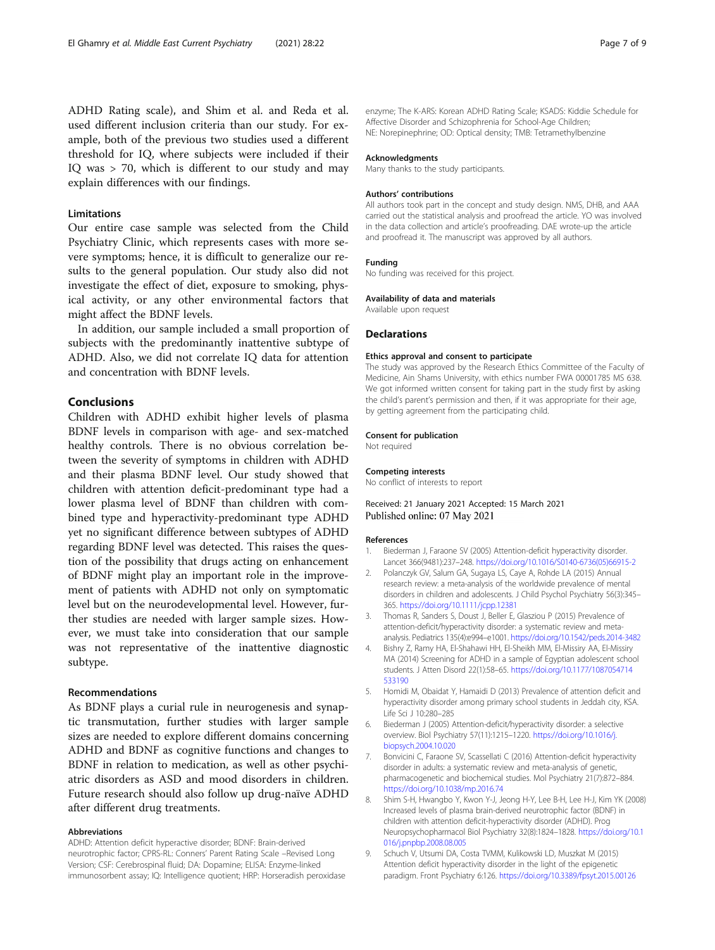<span id="page-6-0"></span>ADHD Rating scale), and Shim et al. and Reda et al. used different inclusion criteria than our study. For example, both of the previous two studies used a different threshold for IQ, where subjects were included if their IQ was > 70, which is different to our study and may explain differences with our findings.

# **Limitations**

Our entire case sample was selected from the Child Psychiatry Clinic, which represents cases with more severe symptoms; hence, it is difficult to generalize our results to the general population. Our study also did not investigate the effect of diet, exposure to smoking, physical activity, or any other environmental factors that might affect the BDNF levels.

In addition, our sample included a small proportion of subjects with the predominantly inattentive subtype of ADHD. Also, we did not correlate IQ data for attention and concentration with BDNF levels.

# Conclusions

Children with ADHD exhibit higher levels of plasma BDNF levels in comparison with age- and sex-matched healthy controls. There is no obvious correlation between the severity of symptoms in children with ADHD and their plasma BDNF level. Our study showed that children with attention deficit-predominant type had a lower plasma level of BDNF than children with combined type and hyperactivity-predominant type ADHD yet no significant difference between subtypes of ADHD regarding BDNF level was detected. This raises the question of the possibility that drugs acting on enhancement of BDNF might play an important role in the improvement of patients with ADHD not only on symptomatic level but on the neurodevelopmental level. However, further studies are needed with larger sample sizes. However, we must take into consideration that our sample was not representative of the inattentive diagnostic subtype.

# Recommendations

As BDNF plays a curial rule in neurogenesis and synaptic transmutation, further studies with larger sample sizes are needed to explore different domains concerning ADHD and BDNF as cognitive functions and changes to BDNF in relation to medication, as well as other psychiatric disorders as ASD and mood disorders in children. Future research should also follow up drug-naïve ADHD after different drug treatments.

#### Abbreviations

ADHD: Attention deficit hyperactive disorder; BDNF: Brain-derived neurotrophic factor; CPRS-RL: Conners' Parent Rating Scale –Revised Long Version; CSF: Cerebrospinal fluid; DA: Dopamine; ELISA: Enzyme-linked immunosorbent assay; IQ: Intelligence quotient; HRP: Horseradish peroxidase enzyme; The K-ARS: Korean ADHD Rating Scale; KSADS: Kiddie Schedule for Affective Disorder and Schizophrenia for School-Age Children; NE: Norepinephrine; OD: Optical density; TMB: Tetramethylbenzine

#### Acknowledgments

Many thanks to the study participants.

#### Authors' contributions

All authors took part in the concept and study design. NMS, DHB, and AAA carried out the statistical analysis and proofread the article. YO was involved in the data collection and article's proofreading. DAE wrote-up the article and proofread it. The manuscript was approved by all authors.

# Funding

No funding was received for this project.

# Availability of data and materials

Available upon request

#### **Declarations**

#### Ethics approval and consent to participate

The study was approved by the Research Ethics Committee of the Faculty of Medicine, Ain Shams University, with ethics number FWA 00001785 MS 638. We got informed written consent for taking part in the study first by asking the child's parent's permission and then, if it was appropriate for their age, by getting agreement from the participating child.

#### Consent for publication

Not required

#### Competing interests

No conflict of interests to report

# Received: 21 January 2021 Accepted: 15 March 2021 Published online: 07 May 2021

#### References

- 1. Biederman J, Faraone SV (2005) Attention-deficit hyperactivity disorder. Lancet 366(9481):237–248. [https://doi.org/10.1016/S0140-6736\(05\)66915-2](https://doi.org/10.1016/S0140-6736(05)66915-2)
- 2. Polanczyk GV, Salum GA, Sugaya LS, Caye A, Rohde LA (2015) Annual research review: a meta-analysis of the worldwide prevalence of mental disorders in children and adolescents. J Child Psychol Psychiatry 56(3):345– 365. <https://doi.org/10.1111/jcpp.12381>
- 3. Thomas R, Sanders S, Doust J, Beller E, Glasziou P (2015) Prevalence of attention-deficit/hyperactivity disorder: a systematic review and metaanalysis. Pediatrics 135(4):e994–e1001. <https://doi.org/10.1542/peds.2014-3482>
- 4. Bishry Z, Ramy HA, El-Shahawi HH, El-Sheikh MM, El-Missiry AA, El-Missiry MA (2014) Screening for ADHD in a sample of Egyptian adolescent school students. J Atten Disord 22(1):58–65. [https://doi.org/10.1177/1087054714](https://doi.org/10.1177/1087054714533190) [533190](https://doi.org/10.1177/1087054714533190)
- 5. Homidi M, Obaidat Y, Hamaidi D (2013) Prevalence of attention deficit and hyperactivity disorder among primary school students in Jeddah city, KSA. Life Sci J 10:280–285
- 6. Biederman J (2005) Attention-deficit/hyperactivity disorder: a selective overview. Biol Psychiatry 57(11):1215–1220. [https://doi.org/10.1016/j.](https://doi.org/10.1016/j.biopsych.2004.10.020) [biopsych.2004.10.020](https://doi.org/10.1016/j.biopsych.2004.10.020)
- 7. Bonvicini C, Faraone SV, Scassellati C (2016) Attention-deficit hyperactivity disorder in adults: a systematic review and meta-analysis of genetic, pharmacogenetic and biochemical studies. Mol Psychiatry 21(7):872–884. <https://doi.org/10.1038/mp.2016.74>
- 8. Shim S-H, Hwangbo Y, Kwon Y-J, Jeong H-Y, Lee B-H, Lee H-J, Kim YK (2008) Increased levels of plasma brain-derived neurotrophic factor (BDNF) in children with attention deficit-hyperactivity disorder (ADHD). Prog Neuropsychopharmacol Biol Psychiatry 32(8):1824–1828. [https://doi.org/10.1](https://doi.org/10.1016/j.pnpbp.2008.08.005) [016/j.pnpbp.2008.08.005](https://doi.org/10.1016/j.pnpbp.2008.08.005)
- 9. Schuch V, Utsumi DA, Costa TVMM, Kulikowski LD, Muszkat M (2015) Attention deficit hyperactivity disorder in the light of the epigenetic paradigm. Front Psychiatry 6:126. <https://doi.org/10.3389/fpsyt.2015.00126>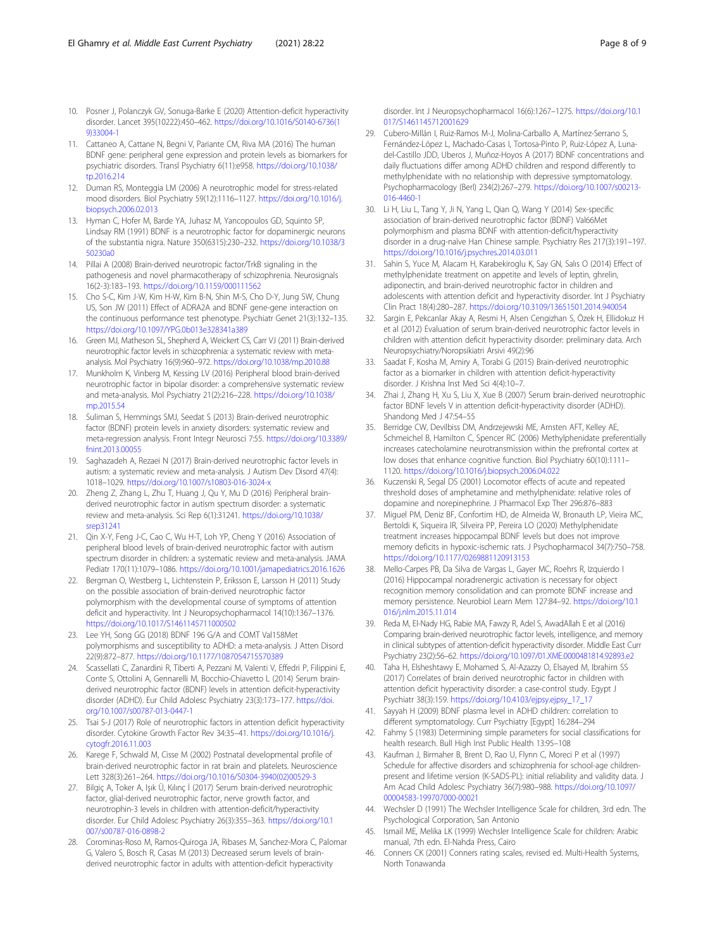- <span id="page-7-0"></span>10. Posner J, Polanczyk GV, Sonuga-Barke E (2020) Attention-deficit hyperactivity disorder. Lancet 395(10222):450–462. [https://doi.org/10.1016/S0140-6736\(1](https://doi.org/10.1016/S0140-6736(19)33004-1) [9\)33004-1](https://doi.org/10.1016/S0140-6736(19)33004-1)
- 11. Cattaneo A, Cattane N, Begni V, Pariante CM, Riva MA (2016) The human BDNF gene: peripheral gene expression and protein levels as biomarkers for psychiatric disorders. Transl Psychiatry 6(11):e958. [https://doi.org/10.1038/](https://doi.org/10.1038/tp.2016.214) [tp.2016.214](https://doi.org/10.1038/tp.2016.214)
- 12. Duman RS, Monteggia LM (2006) A neurotrophic model for stress-related mood disorders. Biol Psychiatry 59(12):1116–1127. [https://doi.org/10.1016/j.](https://doi.org/10.1016/j.biopsych.2006.02.013) [biopsych.2006.02.013](https://doi.org/10.1016/j.biopsych.2006.02.013)
- 13. Hyman C, Hofer M, Barde YA, Juhasz M, Yancopoulos GD, Squinto SP, Lindsay RM (1991) BDNF is a neurotrophic factor for dopaminergic neurons of the substantia nigra. Nature 350(6315):230–232. [https://doi.org/10.1038/3](https://doi.org/10.1038/350230a0) [50230a0](https://doi.org/10.1038/350230a0)
- 14. Pillai A (2008) Brain-derived neurotropic factor/TrkB signaling in the pathogenesis and novel pharmacotherapy of schizophrenia. Neurosignals 16(2-3):183–193. <https://doi.org/10.1159/000111562>
- 15. Cho S-C, Kim J-W, Kim H-W, Kim B-N, Shin M-S, Cho D-Y, Jung SW, Chung US, Son JW (2011) Effect of ADRA2A and BDNF gene-gene interaction on the continuous performance test phenotype. Psychiatr Genet 21(3):132–135. <https://doi.org/10.1097/YPG.0b013e328341a389>
- 16. Green MJ, Matheson SL, Shepherd A, Weickert CS, Carr VJ (2011) Brain-derived neurotrophic factor levels in schizophrenia: a systematic review with metaanalysis. Mol Psychiatry 16(9):960–972. <https://doi.org/10.1038/mp.2010.88>
- 17. Munkholm K, Vinberg M, Kessing LV (2016) Peripheral blood brain-derived neurotrophic factor in bipolar disorder: a comprehensive systematic review and meta-analysis. Mol Psychiatry 21(2):216–228. [https://doi.org/10.1038/](https://doi.org/10.1038/mp.2015.54) [mp.2015.54](https://doi.org/10.1038/mp.2015.54)
- 18. Suliman S, Hemmings SMJ, Seedat S (2013) Brain-derived neurotrophic factor (BDNF) protein levels in anxiety disorders: systematic review and meta-regression analysis. Front Integr Neurosci 7:55. [https://doi.org/10.3389/](https://doi.org/10.3389/fnint.2013.00055) [fnint.2013.00055](https://doi.org/10.3389/fnint.2013.00055)
- 19. Saghazadeh A, Rezaei N (2017) Brain-derived neurotrophic factor levels in autism: a systematic review and meta-analysis. J Autism Dev Disord 47(4): 1018–1029. <https://doi.org/10.1007/s10803-016-3024-x>
- 20. Zheng Z, Zhang L, Zhu T, Huang J, Qu Y, Mu D (2016) Peripheral brainderived neurotrophic factor in autism spectrum disorder: a systematic review and meta-analysis. Sci Rep 6(1):31241. [https://doi.org/10.1038/](https://doi.org/10.1038/srep31241) [srep31241](https://doi.org/10.1038/srep31241)
- 21. Qin X-Y, Feng J-C, Cao C, Wu H-T, Loh YP, Cheng Y (2016) Association of peripheral blood levels of brain-derived neurotrophic factor with autism spectrum disorder in children: a systematic review and meta-analysis. JAMA Pediatr 170(11):1079–1086. <https://doi.org/10.1001/jamapediatrics.2016.1626>
- 22. Bergman O, Westberg L, Lichtenstein P, Eriksson E, Larsson H (2011) Study on the possible association of brain-derived neurotrophic factor polymorphism with the developmental course of symptoms of attention deficit and hyperactivity. Int J Neuropsychopharmacol 14(10):1367–1376. <https://doi.org/10.1017/S1461145711000502>
- 23. Lee YH, Song GG (2018) BDNF 196 G/A and COMT Val158Met polymorphisms and susceptibility to ADHD: a meta-analysis. J Atten Disord 22(9):872–877. <https://doi.org/10.1177/1087054715570389>
- 24. Scassellati C, Zanardini R, Tiberti A, Pezzani M, Valenti V, Effedri P, Filippini E, Conte S, Ottolini A, Gennarelli M, Bocchio-Chiavetto L (2014) Serum brainderived neurotrophic factor (BDNF) levels in attention deficit-hyperactivity disorder (ADHD). Eur Child Adolesc Psychiatry 23(3):173–177. [https://doi.](https://doi.org/10.1007/s00787-013-0447-1) [org/10.1007/s00787-013-0447-1](https://doi.org/10.1007/s00787-013-0447-1)
- 25. Tsai S-J (2017) Role of neurotrophic factors in attention deficit hyperactivity disorder. Cytokine Growth Factor Rev 34:35–41. [https://doi.org/10.1016/j.](https://doi.org/10.1016/j.cytogfr.2016.11.003) [cytogfr.2016.11.003](https://doi.org/10.1016/j.cytogfr.2016.11.003)
- 26. Karege F, Schwald M, Cisse M (2002) Postnatal developmental profile of brain-derived neurotrophic factor in rat brain and platelets. Neuroscience Lett 328(3):261–264. [https://doi.org/10.1016/S0304-3940\(02\)00529-3](https://doi.org/10.1016/S0304-3940(02)00529-3)
- 27. Bilgiç A, Toker A, Işık Ü, Kılınç İ (2017) Serum brain-derived neurotrophic factor, glial-derived neurotrophic factor, nerve growth factor, and neurotrophin-3 levels in children with attention-deficit/hyperactivity disorder. Eur Child Adolesc Psychiatry 26(3):355–363. [https://doi.org/10.1](https://doi.org/10.1007/s00787-016-0898-2) [007/s00787-016-0898-2](https://doi.org/10.1007/s00787-016-0898-2)
- 28. Corominas-Roso M, Ramos-Quiroga JA, Ribases M, Sanchez-Mora C, Palomar G, Valero S, Bosch R, Casas M (2013) Decreased serum levels of brainderived neurotrophic factor in adults with attention-deficit hyperactivity

disorder. Int J Neuropsychopharmacol 16(6):1267–1275. [https://doi.org/10.1](https://doi.org/10.1017/S1461145712001629) [017/S1461145712001629](https://doi.org/10.1017/S1461145712001629)

- 29. Cubero-Millán I, Ruiz-Ramos M-J, Molina-Carballo A, Martínez-Serrano S, Fernández-López L, Machado-Casas I, Tortosa-Pinto P, Ruiz-López A, Lunadel-Castillo JDD, Uberos J, Muñoz-Hoyos A (2017) BDNF concentrations and daily fluctuations differ among ADHD children and respond differently to methylphenidate with no relationship with depressive symptomatology. Psychopharmacology (Berl) 234(2):267–279. [https://doi.org/10.1007/s00213-](https://doi.org/10.1007/s00213-016-4460-1) [016-4460-1](https://doi.org/10.1007/s00213-016-4460-1)
- 30. Li H, Liu L, Tang Y, Ji N, Yang L, Qian Q, Wang Y (2014) Sex-specific association of brain-derived neurotrophic factor (BDNF) Val66Met polymorphism and plasma BDNF with attention-deficit/hyperactivity disorder in a drug-naïve Han Chinese sample. Psychiatry Res 217(3):191–197. <https://doi.org/10.1016/j.psychres.2014.03.011>
- 31. Sahin S, Yuce M, Alacam H, Karabekiroglu K, Say GN, Salıs O (2014) Effect of methylphenidate treatment on appetite and levels of leptin, ghrelin, adiponectin, and brain-derived neurotrophic factor in children and adolescents with attention deficit and hyperactivity disorder. Int J Psychiatry Clin Pract 18(4):280–287. <https://doi.org/10.3109/13651501.2014.940054>
- 32. Sargin E, Pekcanlar Akay A, Resmi H, Alsen Cengizhan S, Özek H, Ellidokuz H et al (2012) Evaluation of serum brain-derived neurotrophic factor levels in children with attention deficit hyperactivity disorder: preliminary data. Arch Neuropsychiatry/Noropsikiatri Arsivi 49(2):96
- 33. Saadat F, Kosha M, Amiry A, Torabi G (2015) Brain-derived neurotrophic factor as a biomarker in children with attention deficit-hyperactivity disorder. J Krishna Inst Med Sci 4(4):10–7.
- 34. Zhai J, Zhang H, Xu S, Liu X, Xue B (2007) Serum brain-derived neurotrophic factor BDNF levels V in attention deficit-hyperactivity disorder (ADHD). Shandong Med J 47:54–55
- 35. Berridge CW, Devilbiss DM, Andrzejewski ME, Arnsten AFT, Kelley AE, Schmeichel B, Hamilton C, Spencer RC (2006) Methylphenidate preferentially increases catecholamine neurotransmission within the prefrontal cortex at low doses that enhance cognitive function. Biol Psychiatry 60(10):1111– 1120. <https://doi.org/10.1016/j.biopsych.2006.04.022>
- 36. Kuczenski R, Segal DS (2001) Locomotor effects of acute and repeated threshold doses of amphetamine and methylphenidate: relative roles of dopamine and norepinephrine. J Pharmacol Exp Ther 296:876–883
- 37. Miguel PM, Deniz BF, Confortim HD, de Almeida W, Bronauth LP, Vieira MC, Bertoldi K, Siqueira IR, Silveira PP, Pereira LO (2020) Methylphenidate treatment increases hippocampal BDNF levels but does not improve memory deficits in hypoxic-ischemic rats. J Psychopharmacol 34(7):750–758. <https://doi.org/10.1177/0269881120913153>
- 38. Mello-Carpes PB, Da Silva de Vargas L, Gayer MC, Roehrs R, Izquierdo I (2016) Hippocampal noradrenergic activation is necessary for object recognition memory consolidation and can promote BDNF increase and memory persistence. Neurobiol Learn Mem 127:84–92. [https://doi.org/10.1](https://doi.org/10.1016/j.nlm.2015.11.014) [016/j.nlm.2015.11.014](https://doi.org/10.1016/j.nlm.2015.11.014)
- 39. Reda M, El-Nady HG, Rabie MA, Fawzy R, Adel S, AwadAllah E et al (2016) Comparing brain-derived neurotrophic factor levels, intelligence, and memory in clinical subtypes of attention-deficit hyperactivity disorder. Middle East Curr Psychiatry 23(2):56–62. <https://doi.org/10.1097/01.XME.0000481814.92893.e2>
- 40. Taha H, Elsheshtawy E, Mohamed S, Al-Azazzy O, Elsayed M, Ibrahim SS (2017) Correlates of brain derived neurotrophic factor in children with attention deficit hyperactivity disorder: a case-control study. Egypt J Psychiatr 38(3):159. [https://doi.org/10.4103/ejpsy.ejpsy\\_17\\_17](https://doi.org/10.4103/ejpsy.ejpsy_17_17)
- 41. Sayyah H (2009) BDNF plasma level in ADHD children: correlation to different symptomatology. Curr Psychiatry [Egypt] 16:284–294
- 42. Fahmy S (1983) Determining simple parameters for social classifications for health research. Bull High Inst Public Health 13:95–108
- 43. Kaufman J, Birmaher B, Brent D, Rao U, Flynn C, Moreci P et al (1997) Schedule for affective disorders and schizophrenia for school-age childrenpresent and lifetime version (K-SADS-PL): initial reliability and validity data. J Am Acad Child Adolesc Psychiatry 36(7):980–988. [https://doi.org/10.1097/](https://doi.org/10.1097/00004583-199707000-00021) [00004583-199707000-00021](https://doi.org/10.1097/00004583-199707000-00021)
- 44. Wechsler D (1991) The Wechsler Intelligence Scale for children, 3rd edn. The Psychological Corporation, San Antonio
- 45. Ismail ME, Melika LK (1999) Wechsler Intelligence Scale for children: Arabic manual, 7th edn. El-Nahda Press, Cairo
- 46. Conners CK (2001) Conners rating scales, revised ed. Multi-Health Systems, North Tonawanda